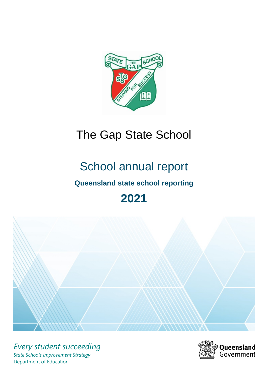

# The Gap State School

# School annual report

# **Queensland state school reporting**

# **2021**



*Every student succeeding State Schools Improvement Strategy* Department of Education

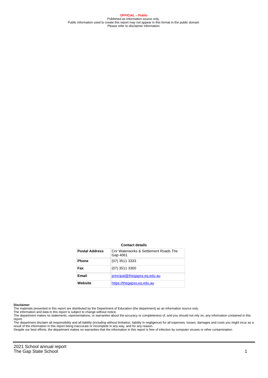**OFFICIAL – Public** Published as information source only. Public information used to create this report may not appear in this format in the public domain Please refer to disclaimer information.

#### **Contact details**

| <b>Postal Address</b> | Cnr Waterworks & Settlement Roads The<br>Gap 4061 |
|-----------------------|---------------------------------------------------|
| <b>Phone</b>          | (07) 3511 3333                                    |
| Fax                   | (07) 3511 3300                                    |
| Email                 | principal@thegapss.eq.edu.au                      |
| Website               | https://thegapss.eg.edu.au                        |

#### **Disclaimer**

The materials presented in this report are distributed by the Department of Education (the department) as an information source only.

The information and data in this report is subject to change without notice.

The department makes no statements, representations, or warranties about the accuracy or completeness of, and you should not rely on, any information contained in this report.

The department disclaim all responsibility and all liability (including without limitation, liability in negligence) for all expenses, losses, damages and costs you might incur as a<br>result of the information in this report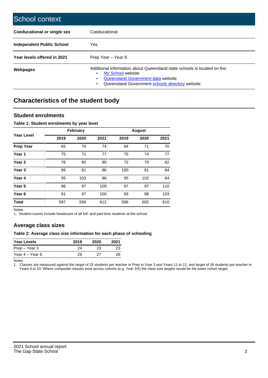| School context                   |                                                                                                                                                                                              |
|----------------------------------|----------------------------------------------------------------------------------------------------------------------------------------------------------------------------------------------|
| Coeducational or single sex      | Coeducational                                                                                                                                                                                |
| <b>Independent Public School</b> | Yes                                                                                                                                                                                          |
| Year levels offered in 2021      | Prep Year - Year 6                                                                                                                                                                           |
| Webpages                         | Additional information about Queensland state schools is located on the:<br>My School website<br>Queensland Government data website<br>Queensland Government schools directory website.<br>٠ |

# **Characteristics of the student body**

### **Student enrolments**

#### **Table 1: Student enrolments by year level**

|                   | <b>February</b> |      |      |      | <b>August</b> |      |
|-------------------|-----------------|------|------|------|---------------|------|
| <b>Year Level</b> | 2019            | 2020 | 2021 | 2019 | 2020          | 2021 |
| <b>Prep Year</b>  | 65              | 70   | 74   | 64   | 71            | 70   |
| Year 1            | 75              | 71   | 77   | 75   | 74            | 77   |
| Year 2            | 76              | 80   | 80   | 72   | 79            | 82   |
| Year <sub>3</sub> | 99              | 81   | 86   | 100  | 81            | 84   |
| Year 4            | 95              | 103  | 86   | 95   | 102           | 84   |
| Year <sub>5</sub> | 96              | 97   | 109  | 97   | 97            | 110  |
| Year <sub>6</sub> | 91              | 97   | 100  | 93   | 98            | 103  |
| <b>Total</b>      | 597             | 599  | 612  | 596  | 602           | 610  |

Notes

1. Student counts include headcount of all full- and part-time students at the school.

## **Average class sizes**

#### **Table 2: Average class size information for each phase of schooling**

| <b>Year Levels</b> | 2019 | 2020 | 2021 |
|--------------------|------|------|------|
| Prep – Year 3      | 24   | 23   | 23   |
| Year 4 – Year 6    | 26   | 27   | 26   |

Notes

1. Classes are measured against the target of 25 students per teacher in Prep to Year 3 and Years 11 to 12, and target of 28 students per teacher in Years 4 to 10. Where composite classes exist across cohorts (e.g. Year 3/4) the class size targets would be the lower cohort target.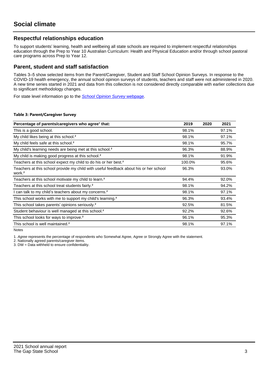## **Respectful relationships education**

To support students' learning, health and wellbeing all state schools are required to implement respectful relationships education through the Prep to Year 10 Australian Curriculum: Health and Physical Education and/or through school pastoral care programs across Prep to Year 12.

### **Parent, student and staff satisfaction**

Tables 3–5 show selected items from the Parent/Caregiver, Student and Staff School Opinion Surveys. In response to the COVID-19 health emergency, the annual school opinion surveys of students, teachers and staff were not administered in 2020. A new time series started in 2021 and data from this collection is not considered directly comparable with earlier collections due to significant methodology changes.

For state level information go to the **[School Opinion Survey](https://qed.qld.gov.au/publications/reports/statistics/schooling/schools/schoolopinionsurvey) webpage**.

#### **Table 3: Parent/Caregiver Survey**

| Percentage of parents/caregivers who agree <sup>1</sup> that:                                               | 2019   | 2020 | 2021  |
|-------------------------------------------------------------------------------------------------------------|--------|------|-------|
| This is a good school.                                                                                      | 98.1%  |      | 97.1% |
| My child likes being at this school. <sup>2</sup>                                                           | 98.1%  |      | 97.1% |
| My child feels safe at this school. <sup>2</sup>                                                            | 98.1%  |      | 95.7% |
| My child's learning needs are being met at this school. <sup>2</sup>                                        | 96.3%  |      | 88.9% |
| My child is making good progress at this school. <sup>2</sup>                                               | 98.1%  |      | 91.9% |
| Teachers at this school expect my child to do his or her best. <sup>2</sup>                                 | 100.0% |      | 95.6% |
| Teachers at this school provide my child with useful feedback about his or her school<br>work. <sup>2</sup> | 96.3%  |      | 93.0% |
| Teachers at this school motivate my child to learn. <sup>2</sup>                                            | 94.4%  |      | 92.0% |
| Teachers at this school treat students fairly. <sup>2</sup>                                                 | 98.1%  |      | 94.2% |
| can talk to my child's teachers about my concerns. <sup>2</sup>                                             | 98.1%  |      | 97.1% |
| This school works with me to support my child's learning. <sup>2</sup>                                      | 96.3%  |      | 93.4% |
| This school takes parents' opinions seriously. <sup>2</sup>                                                 | 92.5%  |      | 81.5% |
| Student behaviour is well managed at this school. <sup>2</sup>                                              | 92.2%  |      | 92.6% |
| This school looks for ways to improve. <sup>2</sup>                                                         | 96.1%  |      | 95.3% |
| This school is well maintained. <sup>2</sup>                                                                | 98.1%  |      | 97.1% |

Notes

1. Agree represents the percentage of respondents who Somewhat Agree, Agree or Strongly Agree with the statement.

2. Nationally agreed parents/caregiver items.

3. DW = Data withheld to ensure confidentiality.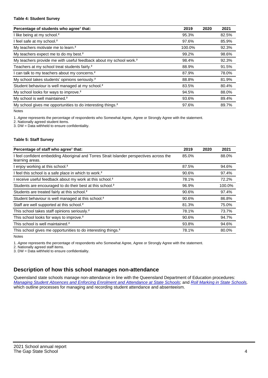#### **Table 4: Student Survey**

| Percentage of students who agree <sup>1</sup> that:                            | 2019   | 2020 | 2021  |
|--------------------------------------------------------------------------------|--------|------|-------|
| I like being at my school. <sup>2</sup>                                        | 95.3%  |      | 82.5% |
| I feel safe at my school. <sup>2</sup>                                         | 97.6%  |      | 85.9% |
| My teachers motivate me to learn. <sup>2</sup>                                 | 100.0% |      | 92.3% |
| My teachers expect me to do my best. <sup>2</sup>                              | 99.2%  |      | 98.6% |
| My teachers provide me with useful feedback about my school work. <sup>2</sup> | 98.4%  |      | 92.3% |
| Teachers at my school treat students fairly. <sup>2</sup>                      | 88.9%  |      | 91.5% |
| I can talk to my teachers about my concerns. <sup>2</sup>                      | 87.9%  |      | 78.0% |
| My school takes students' opinions seriously. <sup>2</sup>                     | 88.8%  |      | 81.9% |
| Student behaviour is well managed at my school. <sup>2</sup>                   | 83.5%  |      | 80.4% |
| My school looks for ways to improve. <sup>2</sup>                              | 94.5%  |      | 88.0% |
| My school is well maintained. <sup>2</sup>                                     | 93.6%  |      | 89.4% |
| My school gives me opportunities to do interesting things. <sup>2</sup>        | 97.6%  |      | 89.7% |

Notes

1. Agree represents the percentage of respondents who Somewhat Agree, Agree or Strongly Agree with the statement.

2. Nationally agreed student items.

3. DW = Data withheld to ensure confidentiality.

#### **Table 5: Staff Survey**

| Percentage of staff who agree <sup>1</sup> that:                                                            | 2019  | 2020 | 2021   |
|-------------------------------------------------------------------------------------------------------------|-------|------|--------|
| I feel confident embedding Aboriginal and Torres Strait Islander perspectives across the<br>learning areas. | 85.0% |      | 88.0%  |
| I enjoy working at this school. <sup>2</sup>                                                                | 87.5% |      | 94.6%  |
| I feel this school is a safe place in which to work. <sup>2</sup>                                           | 90.6% |      | 97.4%  |
| I receive useful feedback about my work at this school. <sup>2</sup>                                        | 78.1% |      | 72.2%  |
| Students are encouraged to do their best at this school. <sup>2</sup>                                       | 96.9% |      | 100.0% |
| Students are treated fairly at this school. <sup>2</sup>                                                    | 90.6% |      | 97.4%  |
| Student behaviour is well managed at this school. <sup>2</sup>                                              | 90.6% |      | 86.8%  |
| Staff are well supported at this school. <sup>2</sup>                                                       | 81.3% |      | 75.0%  |
| This school takes staff opinions seriously. <sup>2</sup>                                                    | 78.1% |      | 73.7%  |
| This school looks for ways to improve. <sup>2</sup>                                                         | 90.6% |      | 94.7%  |
| This school is well maintained. <sup>2</sup>                                                                | 93.8% |      | 94.6%  |
| This school gives me opportunities to do interesting things. <sup>2</sup>                                   | 78.1% |      | 80.0%  |

Notes

1. Agree represents the percentage of respondents who Somewhat Agree, Agree or Strongly Agree with the statement.

2. Nationally agreed staff items.

3. DW = Data withheld to ensure confidentiality.

## **Description of how this school manages non-attendance**

Queensland state schools manage non-attendance in line with the Queensland Department of Education procedures: [Managing Student Absences and Enforcing Enrolment and Attendance at State Schools](https://ppr.qed.qld.gov.au/pp/managing-student-absences-and-enforcing-enrolment-and-attendance-at-state-schools-procedure); and [Roll Marking in State Schools,](https://ppr.qed.qld.gov.au/pp/roll-marking-in-state-schools-procedure) which outline processes for managing and recording student attendance and absenteeism.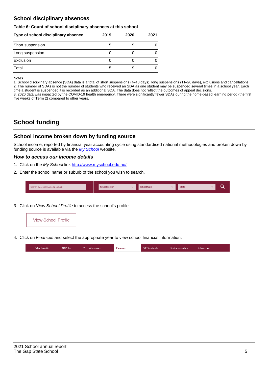## **School disciplinary absences**

#### **Table 6: Count of school disciplinary absences at this school**

| Type of school disciplinary absence | 2019 | 2020 | 2021 |
|-------------------------------------|------|------|------|
| Short suspension                    | b    |      |      |
| Long suspension                     |      |      |      |
| Exclusion                           | O    |      |      |
| Total                               | b    |      |      |

Notes

1. School disciplinary absence (SDA) data is a total of short suspensions (1–10 days), long suspensions (11–20 days), exclusions and cancellations. 2. The number of SDAs is not the number of students who received an SDA as one student may be suspended several times in a school year. Each time a student is suspended it is recorded as an additional SDA. The data does not reflect the outcomes of appeal decisions.

3. 2020 data was impacted by the COVID-19 health emergency. There were significantly fewer SDAs during the home-based learning period (the first five weeks of Term 2) compared to other years.

# **School funding**

### **School income broken down by funding source**

School income, reported by financial year accounting cycle using standardised national methodologies and broken down by funding source is available via the [My School](http://www.myschool.edu.au/) website.

#### **How to access our income details**

- 1. Click on the My School link <http://www.myschool.edu.au/>.
- 2. Enter the school name or suburb of the school you wish to search.

|  | Search by school name or suburb |  | <b>School sector</b> |  | $\sim$ and $\sim$ represents the set of $\sim$ | <b>State</b> |  |  |  |
|--|---------------------------------|--|----------------------|--|------------------------------------------------|--------------|--|--|--|
|--|---------------------------------|--|----------------------|--|------------------------------------------------|--------------|--|--|--|

3. Click on View School Profile to access the school's profile.



4. Click on Finances and select the appropriate year to view school financial information.

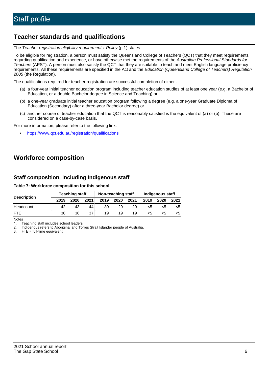## **Teacher standards and qualifications**

The Teacher registration eligibility requirements: Policy (p.1) states:

To be eligible for registration, a person must satisfy the Queensland College of Teachers (QCT) that they meet requirements regarding qualification and experience, or have otherwise met the requirements of the Australian Professional Standards for Teachers (APST). A person must also satisfy the QCT that they are suitable to teach and meet English language proficiency requirements. All these requirements are specified in the Act and the Education (Queensland College of Teachers) Regulation 2005 (the Regulation).

The qualifications required for teacher registration are successful completion of either -

- (a) a four-year initial teacher education program including teacher education studies of at least one year (e.g. a Bachelor of Education, or a double Bachelor degree in Science and Teaching) or
- (b) a one-year graduate initial teacher education program following a degree (e.g. a one-year Graduate Diploma of Education (Secondary) after a three-year Bachelor degree) or
- (c) another course of teacher education that the QCT is reasonably satisfied is the equivalent of (a) or (b). These are considered on a case-by-case basis.

For more information, please refer to the following link:

• <https://www.qct.edu.au/registration/qualifications>

# **Workforce composition**

## **Staff composition, including Indigenous staff**

#### **Table 7: Workforce composition for this school**

|                    |      | <b>Teaching staff</b> |      |      | Non-teaching staff |      |      | Indigenous staff |      |
|--------------------|------|-----------------------|------|------|--------------------|------|------|------------------|------|
| <b>Description</b> | 2019 | 2020                  | 2021 | 2019 | 2020               | 2021 | 2019 | 2020             | 2021 |
| Headcount          | 42   | 43                    | 44   | 30   | 29                 | 29   | <5   | <5               |      |
| <b>FTF</b>         | 36   | 36                    | 37   | 19   | 19                 | 19   | <5   | ה>               |      |

Notes

1. Teaching staff includes school leaders.

2. Indigenous refers to Aboriginal and Torres Strait Islander people of Australia.

3. FTE = full-time equivalent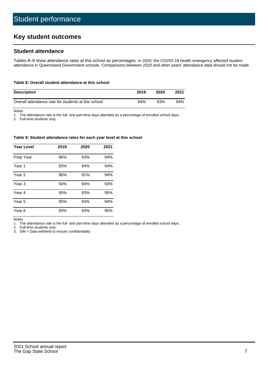# **Key student outcomes**

## **Student attendance**

Tables 8–9 show attendance rates at this school as percentages. In 2020, the COVID-19 health emergency affected student attendance in Queensland Government schools. Comparisons between 2020 and other years' attendance data should not be made.

#### **Table 8: Overall student attendance at this school**

| <b>Description</b>                                  | 2019 | 2020 | 2021 |
|-----------------------------------------------------|------|------|------|
| Overall attendance rate for students at this school | 94%  | 93%  | 94%  |

Notes

1. The attendance rate is the full- and part-time days attended as a percentage of enrolled school days.

2. Full-time students only.

#### **Table 9: Student attendance rates for each year level at this school**

| <b>Year Level</b> | 2019 | 2020 | 2021 |
|-------------------|------|------|------|
| Prep Year         | 96%  | 93%  | 94%  |
| Year <sub>1</sub> | 93%  | 94%  | 94%  |
| Year 2            | 96%  | 91%  | 94%  |
| Year <sub>3</sub> | 94%  | 94%  | 93%  |
| Year 4            | 95%  | 93%  | 95%  |
| Year 5            | 95%  | 93%  | 94%  |
| Year <sub>6</sub> | 93%  | 93%  | 95%  |

Notes

1. The attendance rate is the full- and part-time days attended as a percentage of enrolled school days.<br>2. Full-time students only.

Full-time students only.

3. DW = Data withheld to ensure confidentiality